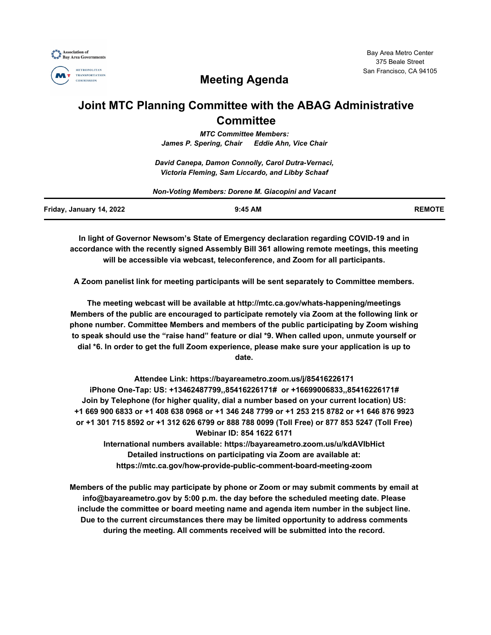



# **Meeting Agenda**

## **Joint MTC Planning Committee with the ABAG Administrative Committee**

*MTC Committee Members: James P. Spering, Chair Eddie Ahn, Vice Chair*

*David Canepa, Damon Connolly, Carol Dutra-Vernaci, Victoria Fleming, Sam Liccardo, and Libby Schaaf*

| Non-Voting Members: Dorene M. Giacopini and Vacant |           |               |
|----------------------------------------------------|-----------|---------------|
| Friday, January 14, 2022                           | $9:45$ AM | <b>REMOTE</b> |

**In light of Governor Newsom's State of Emergency declaration regarding COVID-19 and in accordance with the recently signed Assembly Bill 361 allowing remote meetings, this meeting will be accessible via webcast, teleconference, and Zoom for all participants.**

**A Zoom panelist link for meeting participants will be sent separately to Committee members.**

**The meeting webcast will be available at http://mtc.ca.gov/whats-happening/meetings Members of the public are encouraged to participate remotely via Zoom at the following link or phone number. Committee Members and members of the public participating by Zoom wishing to speak should use the "raise hand" feature or dial \*9. When called upon, unmute yourself or dial \*6. In order to get the full Zoom experience, please make sure your application is up to date.**

**Attendee Link: https://bayareametro.zoom.us/j/85416226171 iPhone One-Tap: US: +13462487799,,85416226171# or +16699006833,,85416226171# Join by Telephone (for higher quality, dial a number based on your current location) US: +1 669 900 6833 or +1 408 638 0968 or +1 346 248 7799 or +1 253 215 8782 or +1 646 876 9923 or +1 301 715 8592 or +1 312 626 6799 or 888 788 0099 (Toll Free) or 877 853 5247 (Toll Free) Webinar ID: 854 1622 6171**

**International numbers available: https://bayareametro.zoom.us/u/kdAVIbHict Detailed instructions on participating via Zoom are available at: https://mtc.ca.gov/how-provide-public-comment-board-meeting-zoom**

**Members of the public may participate by phone or Zoom or may submit comments by email at info@bayareametro.gov by 5:00 p.m. the day before the scheduled meeting date. Please include the committee or board meeting name and agenda item number in the subject line. Due to the current circumstances there may be limited opportunity to address comments during the meeting. All comments received will be submitted into the record.**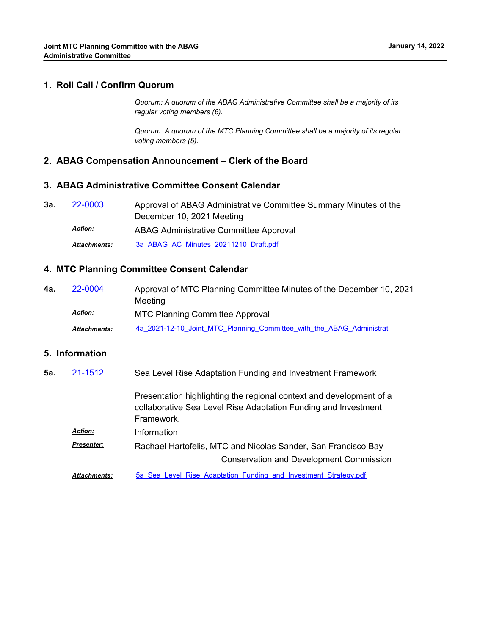*Quorum: A quorum of the ABAG Administrative Committee shall be a majority of its regular voting members (6).*

*Quorum: A quorum of the MTC Planning Committee shall be a majority of its regular voting members (5).*

#### **2. ABAG Compensation Announcement – Clerk of the Board**

#### **3. ABAG Administrative Committee Consent Calendar**

| 3а. | 22-0003             | Approval of ABAG Administrative Committee Summary Minutes of the |
|-----|---------------------|------------------------------------------------------------------|
|     |                     | December 10, 2021 Meeting                                        |
|     | <b>Action:</b>      | ABAG Administrative Committee Approval                           |
|     | <b>Attachments:</b> | 3a ABAG AC Minutes 20211210 Draft.pdf                            |

#### **4. MTC Planning Committee Consent Calendar**

Approval of MTC Planning Committee Minutes of the December 10, 2021 Meeting **4a.** [22-0004](http://mtc.legistar.com/gateway.aspx?m=l&id=/matter.aspx?key=23263) MTC Planning Committee Approval *Action:* Attachments: [4a\\_2021-12-10\\_Joint\\_MTC\\_Planning\\_Committee\\_with\\_the\\_ABAG\\_Administrat](http://mtc.legistar.com/gateway.aspx?M=F&ID=9f7fcd23-6580-4b90-8890-828efca88c30.pdf)

### **5. Information**

| 5a. | 21-1512             | Sea Level Rise Adaptation Funding and Investment Framework                                                                                          |
|-----|---------------------|-----------------------------------------------------------------------------------------------------------------------------------------------------|
|     |                     | Presentation highlighting the regional context and development of a<br>collaborative Sea Level Rise Adaptation Funding and Investment<br>Framework. |
|     | <b>Action:</b>      | Information                                                                                                                                         |
|     | <b>Presenter:</b>   | Rachael Hartofelis, MTC and Nicolas Sander, San Francisco Bay                                                                                       |
|     |                     | <b>Conservation and Development Commission</b>                                                                                                      |
|     | <b>Attachments:</b> | 5a Sea Level Rise Adaptation Funding and Investment Strategy.pdf                                                                                    |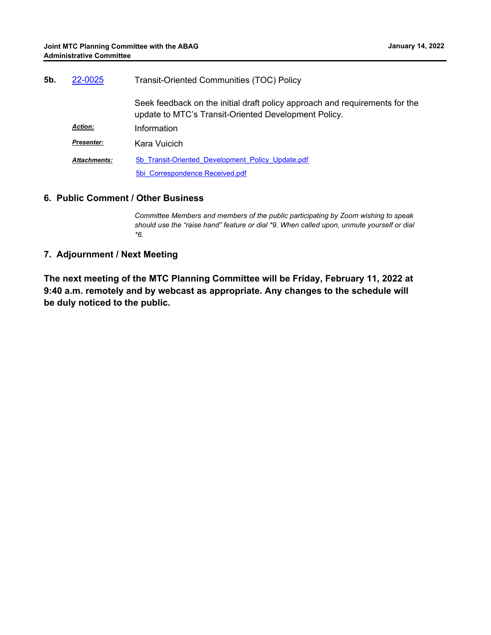| 5b. | 22-0025             | <b>Transit-Oriented Communities (TOC) Policy</b>                                                                                    |
|-----|---------------------|-------------------------------------------------------------------------------------------------------------------------------------|
|     |                     | Seek feedback on the initial draft policy approach and requirements for the<br>update to MTC's Transit-Oriented Development Policy. |
|     | <b>Action:</b>      | Information                                                                                                                         |
|     | <b>Presenter:</b>   | Kara Vuicich                                                                                                                        |
|     | <b>Attachments:</b> | 5b Transit-Oriented Development Policy Update.pdf                                                                                   |
|     |                     | 5bi Correspondence Received.pdf                                                                                                     |

#### **6. Public Comment / Other Business**

*Committee Members and members of the public participating by Zoom wishing to speak should use the "raise hand" feature or dial \*9. When called upon, unmute yourself or dial \*6.*

#### **7. Adjournment / Next Meeting**

**The next meeting of the MTC Planning Committee will be Friday, February 11, 2022 at 9:40 a.m. remotely and by webcast as appropriate. Any changes to the schedule will be duly noticed to the public.**